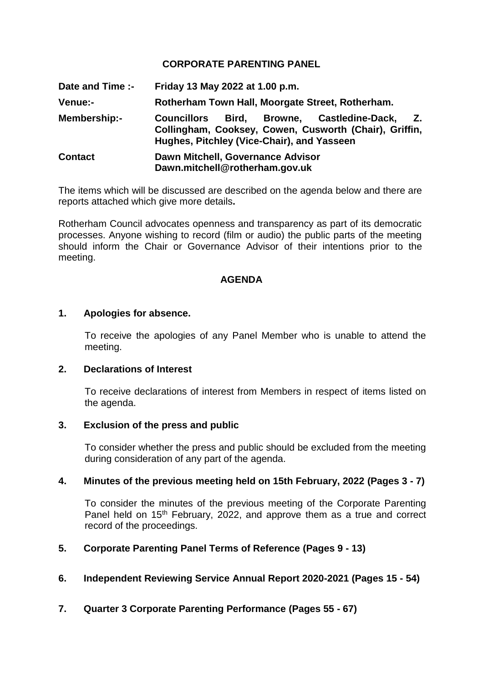## **CORPORATE PARENTING PANEL**

**Date and Time :- Friday 13 May 2022 at 1.00 p.m. Venue:- Rotherham Town Hall, Moorgate Street, Rotherham. Membership:- Councillors Bird, Browne, Castledine-Dack, Z. Collingham, Cooksey, Cowen, Cusworth (Chair), Griffin, Hughes, Pitchley (Vice-Chair), and Yasseen Contact Dawn Mitchell, Governance Advisor Dawn.mitchell@rotherham.gov.uk**

The items which will be discussed are described on the agenda below and there are reports attached which give more details**.**

Rotherham Council advocates openness and transparency as part of its democratic processes. Anyone wishing to record (film or audio) the public parts of the meeting should inform the Chair or Governance Advisor of their intentions prior to the meeting.

## **AGENDA**

#### **1. Apologies for absence.**

To receive the apologies of any Panel Member who is unable to attend the meeting.

### **2. Declarations of Interest**

To receive declarations of interest from Members in respect of items listed on the agenda.

#### **3. Exclusion of the press and public**

To consider whether the press and public should be excluded from the meeting during consideration of any part of the agenda.

#### **4. Minutes of the previous meeting held on 15th February, 2022 (Pages 3 - 7)**

To consider the minutes of the previous meeting of the Corporate Parenting Panel held on 15<sup>th</sup> February, 2022, and approve them as a true and correct record of the proceedings.

#### **5. Corporate Parenting Panel Terms of Reference (Pages 9 - 13)**

#### **6. Independent Reviewing Service Annual Report 2020-2021 (Pages 15 - 54)**

### **7. Quarter 3 Corporate Parenting Performance (Pages 55 - 67)**